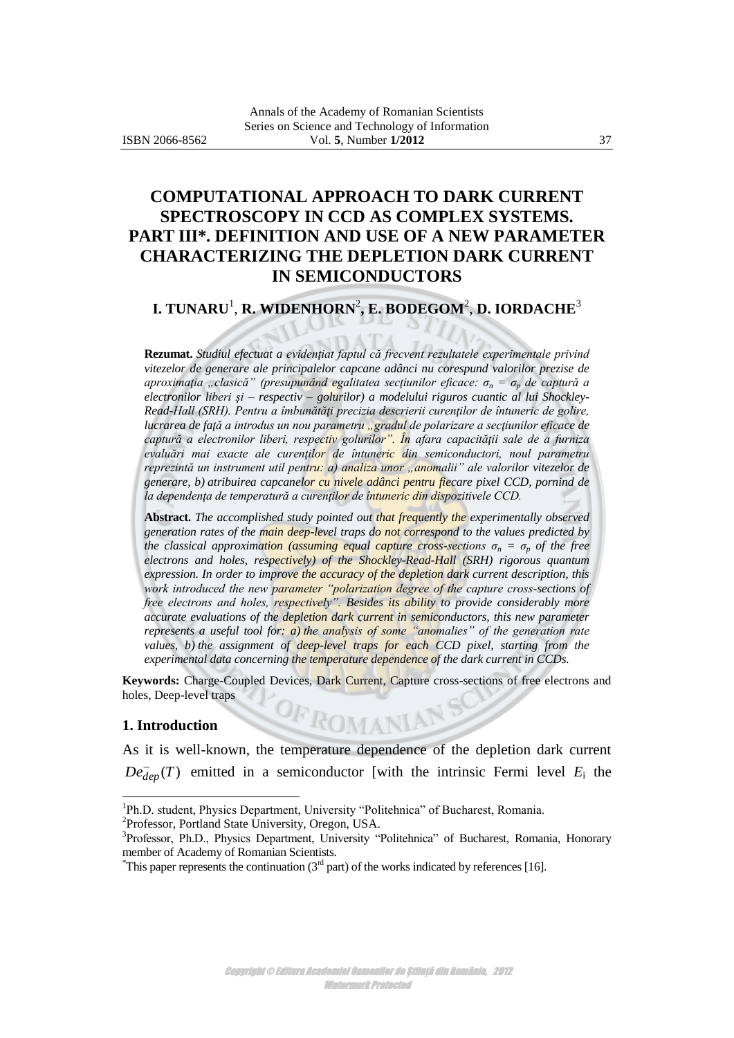# **COMPUTATIONAL APPROACH TO DARK CURRENT SPECTROSCOPY IN CCD AS COMPLEX SYSTEMS. PART III\*. DEFINITION AND USE OF A NEW PARAMETER CHARACTERIZING THE DEPLETION DARK CURRENT IN SEMICONDUCTORS**

# **I. TUNARU**<sup>1</sup> , **R. WIDENHORN**<sup>2</sup> **, E. BODEGOM**<sup>2</sup> , **D. IORDACHE**<sup>3</sup>

**Rezumat.** *Studiul efectuat a evidenţiat faptul că frecvent rezultatele experimentale privind vitezelor de generare ale principalelor capcane adânci nu corespund valorilor prezise de aproximaţia "clasică" (presupunând egalitatea secţiunilor eficace: σ<sup>n</sup> = σ<sup>p</sup> de captură a electronilor liberi şi – respectiv – golurilor) a modelului riguros cuantic al lui Shockley-Read-Hall (SRH). Pentru a îmbunătăţi precizia descrierii curenţilor de întuneric de golire, lucrarea de faţă a introdus un nou parametru "gradul de polarizare a secţiunilor eficace de captură a electronilor liberi, respectiv golurilor". În afara capacităţii sale de a furniza evaluări mai exacte ale curenţilor de întuneric din semiconductori, noul parametru reprezintă un instrument util pentru: a) analiza unor "anomalii" ale valorilor vitezelor de generare, b) atribuirea capcanelor cu nivele adânci pentru fiecare pixel CCD, pornind de la dependenţa de temperatură a curenţilor de întuneric din dispozitivele CCD.*

**Abstract.** *The accomplished study pointed out that frequently the experimentally observed generation rates of the main deep-level traps do not correspond to the values predicted by the classical approximation (assuming equal capture cross-sections*  $\sigma_n = \sigma_p$  *of the free electrons and holes, respectively) of the Shockley-Read-Hall (SRH) rigorous quantum expression. In order to improve the accuracy of the depletion dark current description, this work introduced the new parameter "polarization degree of the capture cross-sections of free electrons and holes, respectively". Besides its ability to provide considerably more accurate evaluations of the depletion dark current in semiconductors, this new parameter represents a useful tool for: a) the analysis of some "anomalies" of the generation rate values, b) the assignment of deep-level traps for each CCD pixel, starting from the experimental data concerning the temperature dependence of the dark current in CCDs.* 

**Keywords:** Charge-Coupled Devices, Dark Current, Capture cross-sections of free electrons and holes, Deep-level traps

OF ROMANIAN

#### **1. Introduction**

l

As it is well-known, the temperature dependence of the depletion dark current  $De^-_{dep}(T)$  emitted in a semiconductor [with the intrinsic Fermi level  $E_i$  the

<sup>&</sup>lt;sup>1</sup>Ph.D. student, Physics Department, University "Politehnica" of Bucharest, Romania. 2 Professor, Portland State University, Oregon, USA.

<sup>&</sup>lt;sup>3</sup>Professor, Ph.D., Physics Department, University "Politehnica" of Bucharest, Romania, Honorary member of Academy of Romanian Scientists.

<sup>&</sup>lt;sup>\*</sup>This paper represents the continuation ( $3<sup>rd</sup>$  part) of the works indicated by references [16].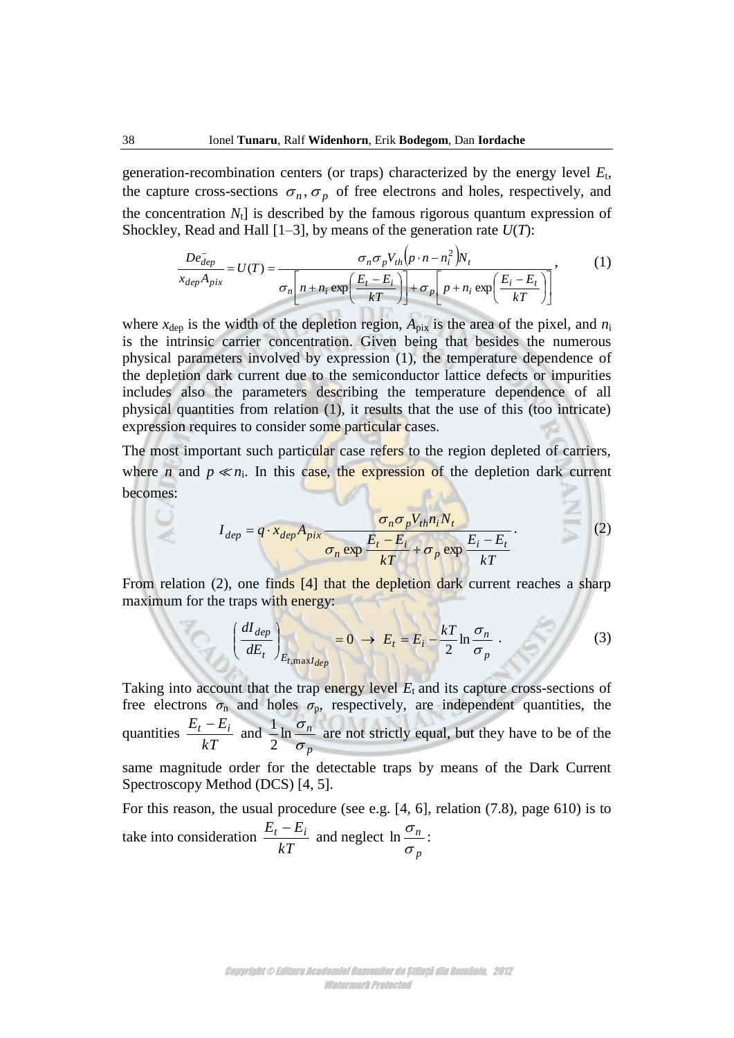generation-recombination centers (or traps) characterized by the energy level *E*<sup>t</sup> , the capture cross-sections  $\sigma_n$ ,  $\sigma_p$  of free electrons and holes, respectively, and the concentration  $N_t$ ] is described by the famous rigorous quantum expression of aracterized by the energy levertrons and holes, respectively<br>us rigorous quantum express<br>experience express<br>experience that  $U(T)$ :<br> $(p \cdot n - n_i^2)N_t$ <br> $\boxed{(E_i - E_r)}$ 

Shockley, Read and Hall [1–3], by means of the generation rate 
$$
U(T)
$$
:

\n
$$
\frac{De_{dep}^{-}}{x_{dep}A_{pix}} = U(T) = \frac{\sigma_n \sigma_p V_{th}(p \cdot n - n_i^2) N_t}{\sigma_n \left[ n + n_i \exp\left(\frac{E_t - E_i}{kT}\right) \right] + \sigma_p \left[ p + n_i \exp\left(\frac{E_i - E_t}{kT}\right) \right]},
$$
\n(1)

where  $x_{dep}$  is the width of the depletion region,  $A_{pix}$  is the area of the pixel, and  $n_i$ is the intrinsic carrier concentration. Given being that besides the numerous physical parameters involved by expression (1), the temperature dependence of the depletion dark current due to the semiconductor lattice defects or impurities includes also the parameters describing the temperature dependence of all physical quantities from relation (1), it results that the use of this (too intricate) expression requires to consider some particular cases.

The most important such particular case refers to the region depleted of carriers, where *n* and  $p \ll n_i$ . In this case, the expression of the depletion dark current becomes:

$$
I_{dep} = q \cdot x_{dep} A_{pix} \frac{\sigma_n \sigma_p V_{th} n_i N_t}{\sigma_n \exp \frac{E_t - E_i}{kT} + \sigma_p \exp \frac{E_i - E_t}{kT}}.
$$
 (2)

From relation (2), one finds [4] that the depletion dark current reaches a sharp maximum for the traps with energy:

traps with energy:  
\n
$$
\left(\frac{dI_{dep}}{dE_t}\right)_{E_t, \max I_{dep}} = 0 \rightarrow E_t = E_i - \frac{kT}{2} \ln \frac{\sigma_n}{\sigma_p}
$$
\n(3)

Taking into account that the trap energy level  $E_t$  and its capture cross-sections of free electrons  $\sigma_n$  and holes  $\sigma_p$ , respectively, are independent quantities, the quantities *kT*  $\frac{E_t - E_i}{iF}$  and *p n*  $\sigma$  $\ln \frac{\sigma}{\sigma}$ 2  $\frac{1}{6}$  ln  $\frac{\sigma_n}{\sigma_n}$  are not strictly equal, but they have to be of the

same magnitude order for the detectable traps by means of the Dark Current Spectroscopy Method (DCS) [4, 5].

For this reason, the usual procedure (see e.g. [4, 6], relation (7.8), page 610) is to take into consideration *kT*  $\frac{E_t - E_i}{iE}$  and neglect *p n*  $\sigma$  $\ln \frac{\sigma_n}{\sigma}$ :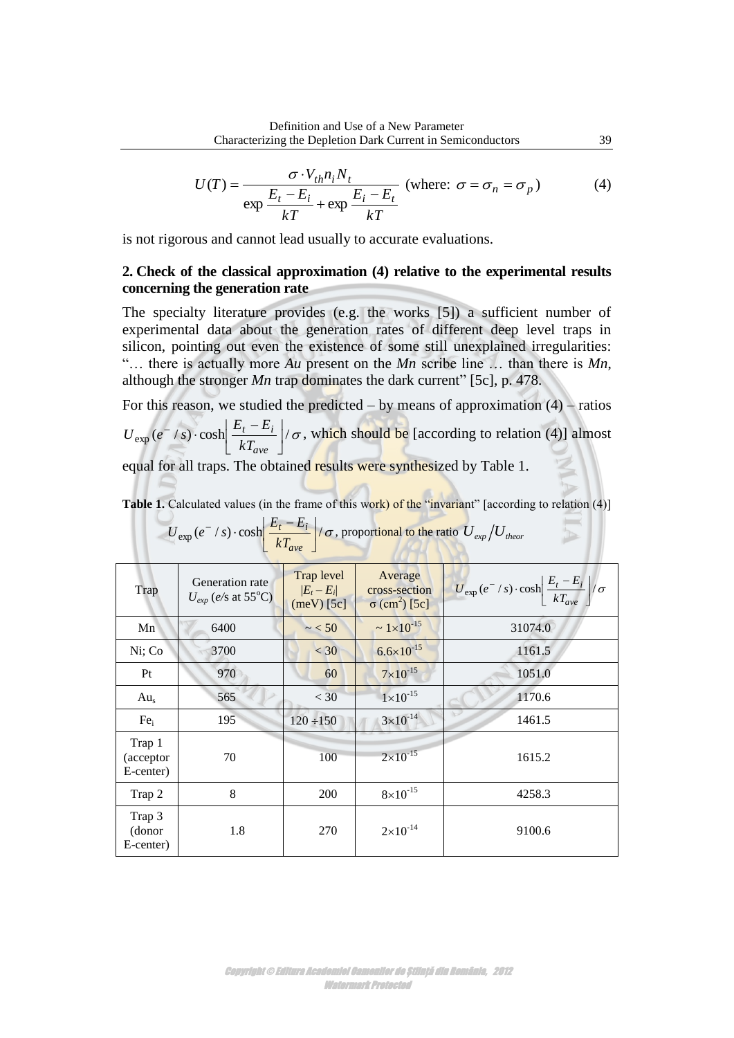$$
U(T) = \frac{\sigma \cdot V_{th} n_i N_t}{\exp \frac{E_t - E_i}{kT} + \exp \frac{E_i - E_t}{kT}} \text{ (where: } \sigma = \sigma_n = \sigma_p \text{)}
$$
 (4)

is not rigorous and cannot lead usually to accurate evaluations.

# **2. Check of the classical approximation (4) relative to the experimental results concerning the generation rate**

The specialty literature provides (e.g. the works [5]) a sufficient number of experimental data about the generation rates of different deep level traps in silicon, pointing out even the existence of some still unexplained irregularities: "… there is actually more *Au* present on the *Mn* scribe line … than there is *Mn*, although the stronger *Mn* trap dominates the dark current" [5c], p. 478.

For this reason, we studied the predicted – by means of approximation  $(4)$  – ratios

 $\exp(e^{-}/s) \cdot \cosh \left| \frac{E_t - E_t}{kT} \right| / \sigma$  $\rfloor$  $\overline{\phantom{a}}$  $\mathbf{r}$ L  $-$ /s)  $\cosh \left| \frac{E_t -}{E_t} \right|$ *ave*  $\mathbf{r} - \mathbf{r}_i$ *kT*  $U_{\text{exp}}(e^-/s) \cdot \cosh \left| \frac{E_t - E_i}{\sigma} \right| / \sigma$ , which should be [according to relation (4)] almost

equal for all traps. The obtained results were synthesized by Table 1.

**Table 1.** Calculated values (in the frame of this work) of the "invariant" [according to relation (4)]

| $-ave$                            |                                                         |                                                  |                                                              |                                                                                 |  |  |  |  |
|-----------------------------------|---------------------------------------------------------|--------------------------------------------------|--------------------------------------------------------------|---------------------------------------------------------------------------------|--|--|--|--|
| Trap                              | Generation rate<br>$U_{exp}$ (e/s at 55 <sup>o</sup> C) | <b>Trap level</b><br>$ E_t-E_i $<br>$(meV)$ [5c] | Average<br>cross-section<br>$\sigma$ (cm <sup>2</sup> ) [5c] | $U_{\rm exp}(e^-/s)\cdot \cosh\left(\frac{E_t-E_i}{kT_{\rm ave}}\right)/\sigma$ |  |  |  |  |
| Mn                                | 6400                                                    | $\sim$ < 50                                      | $\sim 1 \times 10^{-15}$                                     | 31074.0                                                                         |  |  |  |  |
| Ni; Co                            | 3700                                                    | $<$ 30                                           | $6.6 \times 10^{-15}$                                        | 1161.5                                                                          |  |  |  |  |
| Pt                                | 970                                                     | 60                                               | $7 \times 10^{-15}$                                          | 1051.0                                                                          |  |  |  |  |
| Au <sub>s</sub>                   | 565                                                     | $<$ 30                                           | $1 \times 10^{-15}$                                          | 1170.6                                                                          |  |  |  |  |
| Fe <sub>i</sub>                   | 195                                                     | $120 \div 150$                                   | $3 \times 10^{-14}$                                          | 1461.5                                                                          |  |  |  |  |
| Trap 1<br>(acceptor)<br>E-center) | 70                                                      | 100                                              | $2 \times 10^{-15}$                                          | 1615.2                                                                          |  |  |  |  |
| Trap 2                            | 8                                                       | 200                                              | $8\times10^{-15}$                                            | 4258.3                                                                          |  |  |  |  |
| Trap 3<br>(donor<br>E-center)     | 1.8                                                     | 270                                              | $2 \times 10^{-14}$                                          | 9100.6                                                                          |  |  |  |  |

$$
U_{\text{exp}}(e^- / s) \cdot \cosh \left( \frac{E_t - E_i}{kT_{\text{ave}}} \right) / \sigma
$$
, proportional to the ratio  $U_{\text{exp}} / U_{\text{theor}}$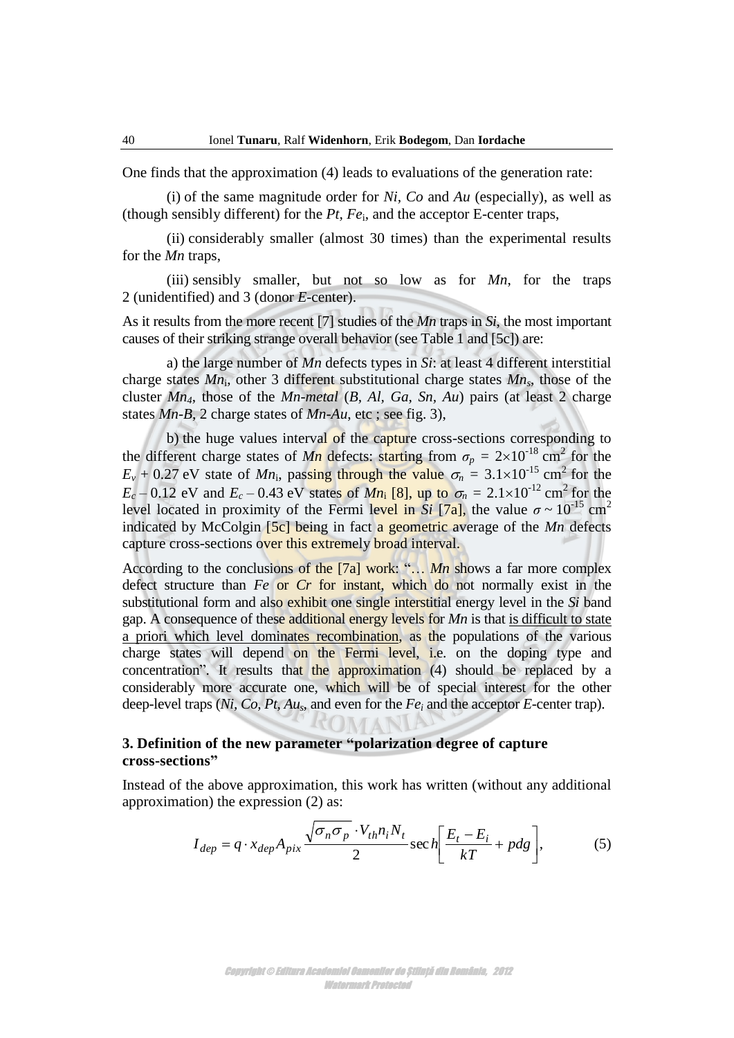One finds that the approximation (4) leads to evaluations of the generation rate:

(i) of the same magnitude order for *Ni, Co* and *Au* (especially), as well as (though sensibly different) for the  $Pt$ ,  $Fe<sub>i</sub>$ , and the acceptor E-center traps,

 (ii) considerably smaller (almost 30 times) than the experimental results for the *Mn* traps,

 (iii) sensibly smaller, but not so low as for *Mn*, for the traps 2 (unidentified) and 3 (donor *E-*center).

As it results from the more recent [7] studies of the *Mn* traps in *Si*, the most important causes of their striking strange overall behavior (see Table 1 and [5c]) are:

a) the large number of *Mn* defects types in *Si*: at least 4 different interstitial charge states *Mn*<sup>i</sup> , other 3 different substitutional charge states *Mns*, those of the cluster *Mn4*, those of the *Mn-metal* (*B, Al, Ga, Sn, Au*) pairs (at least 2 charge states *Mn-B*, 2 charge states of *Mn-Au*, etc ; see fig. 3),

b) the huge values interval of the capture cross-sections corresponding to the different charge states of *Mn* defects: starting from  $\sigma_p = 2 \times 10^{-18}$  cm<sup>2</sup> for the  $E_v + 0.27$  eV state of *Mn*<sub>i</sub>, passing through the value  $\sigma_n = 3.1 \times 10^{-15}$  cm<sup>2</sup> for the  $E_c - 0.12$  eV and  $E_c - 0.43$  eV states of *Mn*<sub>i</sub> [8], up to  $\sigma_n = 2.1 \times 10^{-12}$  cm<sup>2</sup> for the level located in proximity of the Fermi level in  $\overline{Si}$  [7a], the value  $\sigma \sim 10^{-15}$  cm<sup>2</sup> indicated by McColgin [5c] being in fact a geometric average of the *Mn* defects capture cross-sections over this extremely broad interval.

According to the conclusions of the [7a] work: "… *Mn* shows a far more complex defect structure than *Fe* or *Cr* for instant, which do not normally exist in the substitutional form and also exhibit one single interstitial energy level in the *Si* band gap. A consequence of these additional energy levels for *Mn* is that is difficult to state a priori which level dominates recombination, as the populations of the various charge states will depend on the Fermi level, i.e. on the doping type and concentration". It results that the approximation (4) should be replaced by a considerably more accurate one, which will be of special interest for the other deep-level traps (*Ni, Co, Pt, Aus,* and even for the *Fe<sup>i</sup>* and the acceptor *E-*center trap).

# **3. Definition of the new parameter "polarization degree of capture cross-sections"**

Instead of the above approximation, this work has written (without any additional approximation) the expression (2) as:

$$
I_{dep} = q \cdot x_{dep} A_{pix} \frac{\sqrt{\sigma_n \sigma_p} \cdot V_{th} n_i N_t}{2} \sec h \left[ \frac{E_t - E_i}{kT} + p dg \right],
$$
 (5)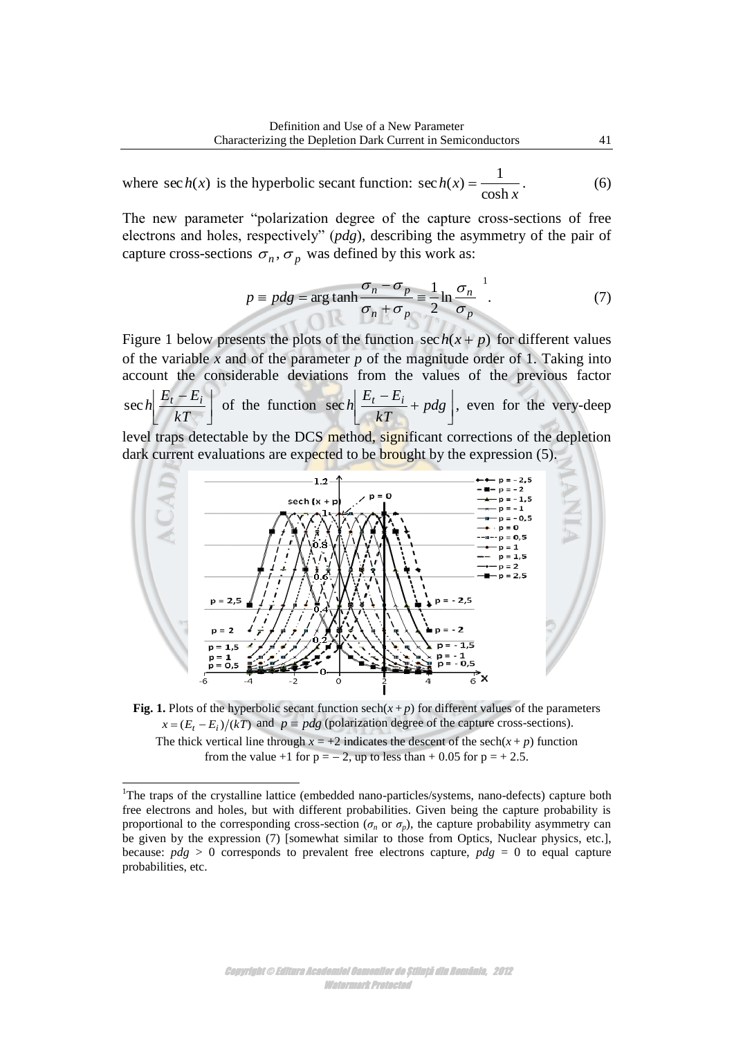where 
$$
\sec h(x)
$$
 is the hyperbolic secant function:  $\sec h(x) = \frac{1}{\cosh x}$ . (6)

The new parameter "polarization degree of the capture cross-sections of free electrons and holes, respectively" (*pdg*), describing the asymmetry of the pair of capture cross-sections  $\sigma_n$ ,  $\sigma_p$  was defined by this work as:

$$
p \equiv p dg = \arg \tanh \frac{\sigma_n - \sigma_p}{\sigma_n + \sigma_p} \equiv \frac{1}{2} \ln \frac{\sigma_n}{\sigma_p} . \tag{7}
$$

Figure 1 below presents the plots of the function  $\sec h(x + p)$  for different values of the variable *x* and of the parameter *p* of the magnitude order of 1. Taking into account the considerable deviations from the values of the previous factor  $\rfloor$ Ì. L  $E_t$  – *kT*  $\sec h \left[ \frac{E_t - E_i}{kT} \right]$  of the function  $\sec h \left[ \frac{E_t - E_i}{kT} + p dg \right]$ I L  $\frac{E_t - E_i}{\sqrt{E}} +$ *pdg kT*  $\left| \frac{E_t - E_i}{\sqrt{T}} + p dg \right|$ , even for the very-deep level traps detectable by the DCS method, significant corrections of the depletion dark current evaluations are expected to be brought by the expression (5).



**Fig. 1.** Plots of the hyperbolic secant function  $\operatorname{sech}(x+p)$  for different values of the parameters  $x = (E_t - E_i)/(kT)$  and  $p \equiv pdg$  (polarization degree of the capture cross-sections). The thick vertical line through  $x = +2$  indicates the descent of the sech( $x + p$ ) function from the value +1 for  $p = -2$ , up to less than + 0.05 for  $p = +2.5$ .

l

<sup>&</sup>lt;sup>1</sup>The traps of the crystalline lattice (embedded nano-particles/systems, nano-defects) capture both free electrons and holes, but with different probabilities. Given being the capture probability is proportional to the corresponding cross-section ( $\sigma_n$  or  $\sigma_p$ ), the capture probability asymmetry can be given by the expression (7) [somewhat similar to those from Optics, Nuclear physics, etc.], because: *pdg* > 0 corresponds to prevalent free electrons capture, *pdg* = 0 to equal capture probabilities, etc.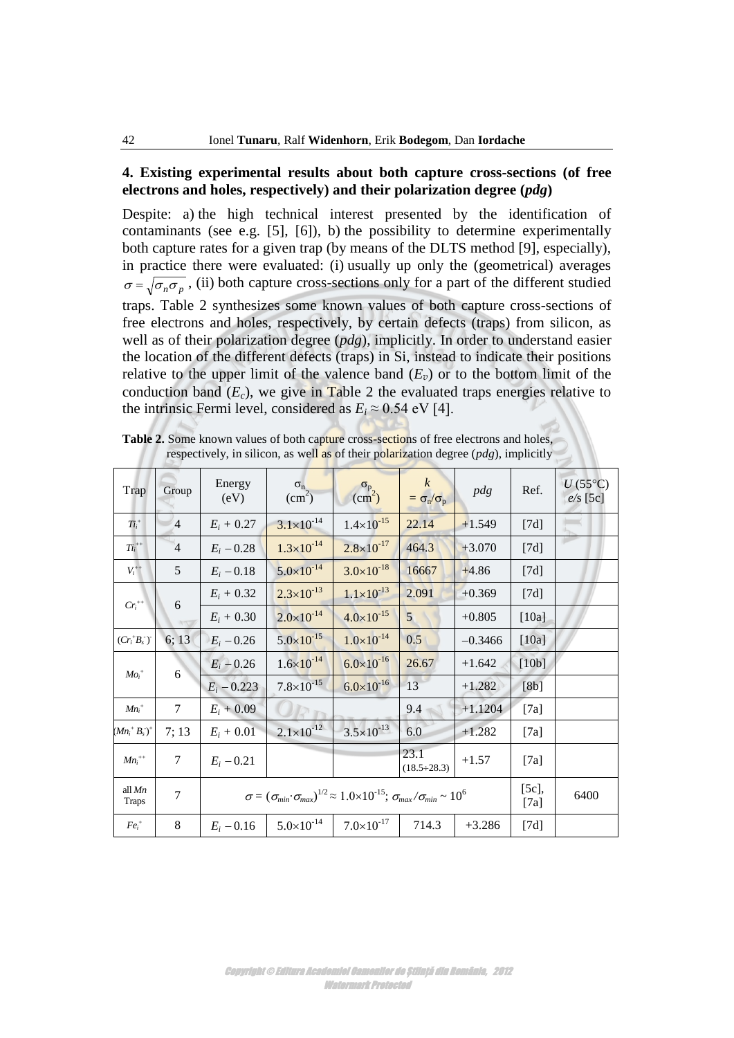# **4. Existing experimental results about both capture cross-sections (of free electrons and holes, respectively) and their polarization degree (***pdg***)**

Despite: a) the high technical interest presented by the identification of contaminants (see e.g. [5], [6]), b) the possibility to determine experimentally both capture rates for a given trap (by means of the DLTS method [9], especially), in practice there were evaluated: (i) usually up only the (geometrical) averages  $\sigma = \sqrt{\sigma_n \sigma_p}$ , (ii) both capture cross-sections only for a part of the different studied traps. Table 2 synthesizes some known values of both capture cross-sections of free electrons and holes, respectively, by certain defects (traps) from silicon, as well as of their polarization degree (*pdg*), implicitly. In order to understand easier the location of the different defects (traps) in Si, instead to indicate their positions relative to the upper limit of the valence band  $(E_v)$  or to the bottom limit of the conduction band  $(E_c)$ , we give in Table 2 the evaluated traps energies relative to the intrinsic Fermi level, considered as  $E_i \approx 0.54$  eV [4].

| Trap                     | Group          | Energy<br>(eV)                                                                                                         | $\sigma_{\rm n}$<br>(cm <sup>2</sup> ) | $\sigma_{p}$<br>(cm <sup>2</sup> ) | $\boldsymbol{k}$<br>$=\sigma_{\rm n}/\sigma_{\rm p}$ | pdg       | Ref.  | $U$ (55°C)<br>$e/s$ [5c] |
|--------------------------|----------------|------------------------------------------------------------------------------------------------------------------------|----------------------------------------|------------------------------------|------------------------------------------------------|-----------|-------|--------------------------|
| $Ti_i^+$                 | $\overline{4}$ | $E_i + 0.27$                                                                                                           | $3.1 \times 10^{-14}$                  | $1.4 \times 10^{-15}$              | 22.14                                                | $+1.549$  | [7d]  |                          |
| $Ti_i^{++}$              | $\overline{4}$ | $E_i - 0.28$                                                                                                           | $1.3\times10^{-14}$                    | $2.8 \times 10^{-17}$              | 464.3                                                | $+3.070$  | [7d]  |                          |
| $V_i^{++}$               | 5              | $E_i - 0.18$                                                                                                           | $5.0 \times 10^{-14}$                  | $3.0 \times 10^{-18}$              | 16667                                                | $+4.86$   | [7d]  |                          |
| $Cr_i^{++}$              |                | $E_i + 0.32$                                                                                                           | $2.3 \times 10^{-13}$                  | $1.1 \times 10^{-13}$              | 2.091                                                | $+0.369$  | [7d]  |                          |
|                          | 6              | $E_i + 0.30$                                                                                                           | $2.0 \times 10^{-14}$                  | $4.0 \times 10^{-15}$              | 5 <sub>1</sub>                                       | $+0.805$  | [10a] |                          |
| $(Cr_i^+B_s^-)$          | 6; 13          | $E_i - 0.26$                                                                                                           | $5.0 \times 10^{-15}$                  | $1.0 \times 10^{-14}$              | 0.5                                                  | $-0.3466$ | [10a] |                          |
| $Mo_i^+$                 | 6              | $E_i - 0.26$                                                                                                           | $1.6 \times 10^{-14}$                  | $6.0 \times 10^{-16}$              | 26.67                                                | $+1.642$  | [10b] |                          |
|                          |                | $E_i - 0.223$                                                                                                          | $7.8 \times 10^{-15}$                  | $6.0 \times 10^{-16}$              | 13                                                   | $+1.282$  | [8b]  |                          |
| $Mn_i^+$                 | $\tau$         | $E_i + 0.09$                                                                                                           |                                        |                                    | 9.4                                                  | $+1.1204$ | [7a]  |                          |
| $(Mn_i^+ B_s^-)^+$       | 7;13           | $E_i + 0.01$                                                                                                           | $2.1 \times 10^{-12}$                  | $3.5 \times 10^{-13}$              | 6.0                                                  | $+1.282$  | [7a]  |                          |
| $Mn_i^{++}$              | $\tau$         | $E_i - 0.21$                                                                                                           |                                        |                                    | 23.1<br>$(18.5 \div 28.3)$                           | $+1.57$   | [7a]  |                          |
| all $Mn$<br><b>Traps</b> | $\overline{7}$ | $\sigma = (\sigma_{min} \cdot \sigma_{max})^{1/2} \approx 1.0 \times 10^{-15}$ ; $\sigma_{max}/\sigma_{min} \sim 10^6$ |                                        |                                    |                                                      |           |       | 6400                     |
| $Fe_i^+$                 | 8              | $E_i - 0.16$                                                                                                           | $5.0\times10^{-14}$                    | $7.0 \times 10^{-17}$              | 714.3                                                | $+3.286$  | [7d]  |                          |

Table 2. Some known values of both capture cross-sections of free electrons and holes, respectively, in silicon, as well as of their polarization degree (*pdg*), implicitly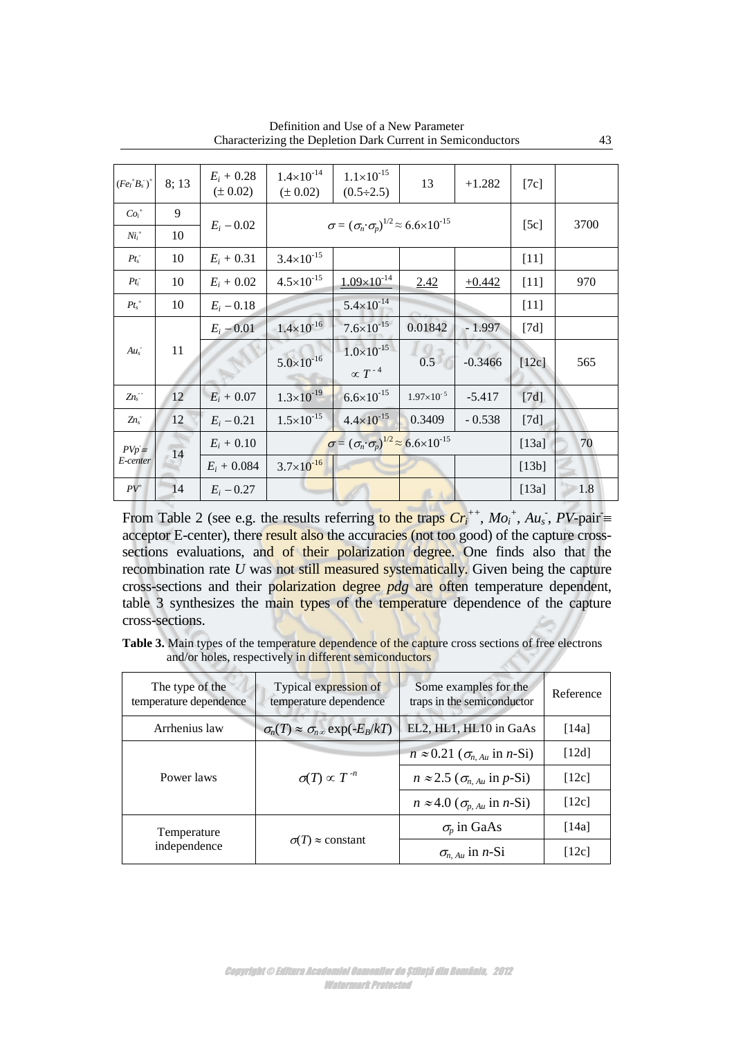| $(FeI+Bs-)+$             | 8;13 | $E_i + 0.28$<br>$(\pm 0.02)$ | $1.4\times10^{-14}$<br>$(\pm 0.02)$ | $1.1 \times 10^{-15}$<br>$(0.5 \div 2.5)$                              | 13                  | $+1.282$  | [7c]               |      |
|--------------------------|------|------------------------------|-------------------------------------|------------------------------------------------------------------------|---------------------|-----------|--------------------|------|
| $Coi+$                   | 9    |                              |                                     | $\sigma = (\sigma_n \cdot \sigma_p)^{1/2} \approx 6.6 \times 10^{-15}$ |                     |           |                    |      |
| $Nii+$                   | 10   | $E_i - 0.02$                 |                                     |                                                                        |                     |           | [5c]               | 3700 |
| $Pt_s^-$                 | 10   | $E_i + 0.31$                 | $3.4 \times 10^{-15}$               |                                                                        |                     |           | $[11]$             |      |
| $Pt_i$                   | 10   | $E_i + 0.02$                 | $4.5 \times 10^{-15}$               | $1.09\times10^{-14}$                                                   | 2.42                | $+0.442$  | $[11]$             | 970  |
| $Pt_s^+$                 | 10   | $E_i - 0.18$                 |                                     | $5.4 \times 10^{-14}$                                                  |                     |           | $[11]$             |      |
|                          |      | $E_i - 0.01$                 | $1.4 \times 10^{-16}$               | $7.6 \times 10^{-15}$                                                  | 0.01842             | $-1.997$  | $\lceil 7d \rceil$ |      |
| $Au_s$                   | 11   |                              | $5.0\times10^{-16}$                 | $1.0\times10^{-15}$<br>$\propto T^{-4}$                                | 0.5                 | $-0.3466$ | $[12c]$            | 565  |
| $Zn_s$                   | 12   | $E_i + 0.07$                 | $1.3 \times 10^{-19}$               | $6.6 \times 10^{-15}$                                                  | $1.97\times10^{-5}$ | $-5.417$  | [7d]               |      |
| $Zn_s$                   | 12   | $E_i - 0.21$                 | $1.5 \times 10^{-15}$               | $4.4 \times 10^{-15}$                                                  | 0.3409              | $-0.538$  | [7d]               |      |
| $PVp \equiv$<br>E-center | 14   | $E_i + 0.10$                 |                                     | $\sigma = (\sigma_n \cdot \sigma_p)^{1/2} \approx 6.6 \times 10^{-15}$ |                     |           | [13a]              | 70   |
|                          |      | $E_i + 0.084$                | $3.7 \times 10^{-16}$               |                                                                        |                     |           | [13b]              |      |
| $PV^{+}$                 | 14   | $E_i - 0.27$                 |                                     |                                                                        |                     |           | $[13a]$            | 1.8  |

Definition and Use of a New Parameter Characterizing the Depletion Dark Current in Semiconductors 43

From Table 2 (see e.g. the results referring to the traps  $Cr_i^{++}$ ,  $Mo_i^+$ ,  $Au_s^-$ ,  $PV$ -pair = acceptor E-center), there result also the accuracies (not too good) of the capture crosssections evaluations, and of their polarization degree. One finds also that the recombination rate *U* was not still measured systematically. Given being the capture cross-sections and their polarization degree *pdg* are often temperature dependent, table 3 synthesizes the main types of the temperature dependence of the capture cross-sections.

Table 3. Main types of the temperature dependence of the capture cross sections of free electrons and/or holes, respectively in different semiconductors

| The type of the<br>temperature dependence | Typical expression of<br>temperature dependence      | Some examples for the<br>traps in the semiconductor | Reference |
|-------------------------------------------|------------------------------------------------------|-----------------------------------------------------|-----------|
| Arrhenius law                             | $\sigma_n(T) \approx \sigma_{n\infty} \exp(-E_B/kT)$ | EL2, HL1, HL10 in GaAs                              | [14a]     |
|                                           |                                                      | $n \approx 0.21$ ( $\sigma_{n, Au}$ in n-Si)        | [12d]     |
| Power laws                                | $\sigma(T) \propto T^{-n}$                           | $n \approx 2.5$ ( $\sigma_{nAu}$ in p-Si)           | [12c]     |
|                                           |                                                      | $n \approx 4.0$ ( $\sigma_{p, Au}$ in <i>n</i> -Si) | [12c]     |
| Temperature                               |                                                      | $\sigma_p$ in GaAs                                  | [14a]     |
| independence                              | $\sigma(T) \approx$ constant                         | $\sigma_{n, Au}$ in <i>n</i> -Si                    | [12c]     |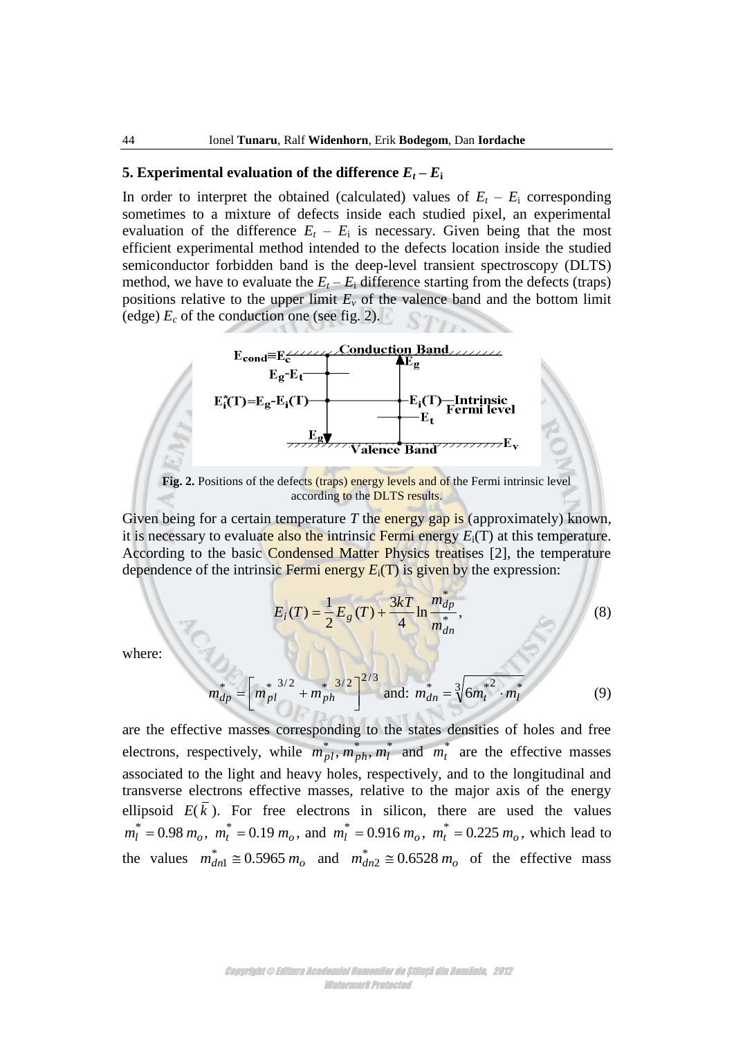# **5. Experimental evaluation of the difference**  $E_t - E_i$

In order to interpret the obtained (calculated) values of  $E_t - E_i$  corresponding sometimes to a mixture of defects inside each studied pixel, an experimental evaluation of the difference  $E_t - E_i$  is necessary. Given being that the most efficient experimental method intended to the defects location inside the studied semiconductor forbidden band is the deep-level transient spectroscopy (DLTS) method, we have to evaluate the  $E_t - E_i$  difference starting from the defects (traps) positions relative to the upper limit  $E<sub>v</sub>$  of the valence band and the bottom limit (edge)  $E_c$  of the conduction one (see fig. 2).



Fig. 2. Positions of the defects (traps) energy levels and of the Fermi intrinsic level according to the DLTS results.

Given being for a certain temperature *T* the energy gap is (approximately) known, it is necessary to evaluate also the intrinsic Fermi energy  $E_i(T)$  at this temperature. According to the basic Condensed Matter Physics treatises [2], the temperature dependence of the intrinsic Fermi energy  $E_i(T)$  is given by the expression:

$$
E_i(T) = \frac{1}{2} E_g(T) + \frac{3kT}{4} \ln \frac{m_{dp}^*}{m_{dn}^*},
$$
\n(8)

where:

$$
m_{dp}^* = \left[m_{pl}^{*3/2} + m_{ph}^{*3/2}\right]^{2/3} \text{ and: } m_{dn}^* = \sqrt[3]{6m_t^{*2} \cdot m_l^*}
$$
 (9)

are the effective masses corresponding to the states densities of holes and free electrons, respectively, while  $m_{pl}^*$ ,  $m_{ph}^*$ ,  $m_l^*$  and  $m_l^*$  are the effective masses associated to the light and heavy holes, respectively, and to the longitudinal and transverse electrons effective masses, relative to the major axis of the energy ellipsoid  $E(k)$ . For free electrons in silicon, there are used the values  $m_l^* = 0.98 m_o$ ,  $m_t^* = 0.19 m_o$ , and  $m_l^* = 0.916 m_o$ ,  $m_t^* = 0.225 m_o$ , which lead to the values  $m_{dn1}^* \approx 0.5965 m_o$  and  $m_{dn2}^* \approx 0.6528 m_o$  of the effective mass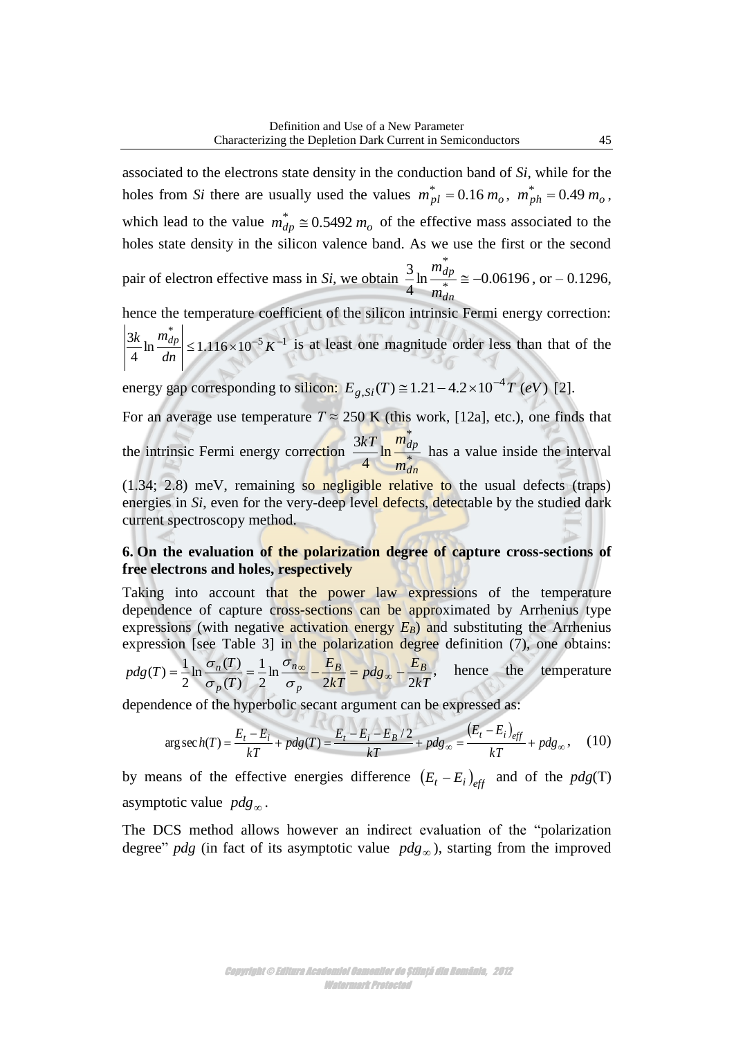associated to the electrons state density in the conduction band of *Si*, while for the holes from *Si* there are usually used the values  $m_{pl}^* = 0.16 m_o$ ,  $m_{ph}^* = 0.49 m_o$ , which lead to the value  $m_{dp}^* \approx 0.5492 m_o$  of the effective mass associated to the holes state density in the silicon valence band. As we use the first or the second

pair of electron effective mass in *Si*, we obtain  $\frac{u}{f} \ln \frac{u}{f} = -0.06196$ 4 3 \* \*  $\cong$ *dn dp m m* , or  $-0.1296$ ,

hence the temperature coefficient of the silicon intrinsic Fermi energy correction:  $5 \frac{\nu - 1}{2}$ \*  $\ln \frac{u_p}{1} \leq 1.116 \times 10$ 4  $\frac{3k}{4} \ln \frac{m_{dp}}{I} \leq 1.116 \times 10^{-5} K^{-1}$ *dn*  $\left| k \ln \frac{m_{dp}}{m} \right| \leq 1.116 \times 10^{-5} K^{-1}$  is at least one magnitude order less than that of the

energy gap corresponding to silicon:  $E_{g, Si}(T) \approx 1.21 - 4.2 \times 10^{-4} T$  (eV) [2].

For an average use temperature  $T \approx 250$  K (this work, [12a], etc.), one finds that the intrinsic Fermi energy correction  $\frac{3\lambda}{4} \ln \frac{a}{m^*}$ \* ln 4 3 *dn dp m*  $\frac{kT}{l} \ln \frac{m_{dp}^2}{r}$  has a value inside the interval

 $(1.34; 2.8)$  meV, remaining so negligible relative to the usual defects (traps) energies in *Si*, even for the very-deep level defects, detectable by the studied dark current spectroscopy method.

# **6. On the evaluation of the polarization degree of capture cross-sections of free electrons and holes, respectively**

Taking into account that the power law expressions of the temperature dependence of capture cross-sections can be approximated by Arrhenius type expressions (with negative activation energy  $E_B$ ) and substituting the Arrhenius

expression [see Table 3] in the polarization degree definition (7), one obtains:  
\n
$$
pdg(T) = \frac{1}{2} \ln \frac{\sigma_n(T)}{\sigma_p(T)} = \frac{1}{2} \ln \frac{\sigma_{n\infty}}{\sigma_p} - \frac{E_B}{2kT} = pdg_{\infty} - \frac{E_B}{2kT},
$$
\nhence the temperature dependence of the hyperbolic secant argument can be expressed as:  
\n
$$
\arg \sech(T) = \frac{E_t - E_i}{1 - \frac{E_t}{2}} + pdg(T) = \frac{E_t - E_i - E_B/2}{1 - \frac{E_B}{2}} + pdg_{\infty} = \frac{(E_t - E_i)_{eff}}{1 - \frac{E_I}{2}} + pdg_{\infty},
$$
\n(10)

dependence of the hyperbolic secant argument can be expressed as:  
\n
$$
\arg \sec h(T) = \frac{E_t - E_i}{kT} + p dg(T) = \frac{E_t - E_i - E_B/2}{kT} + p dg_\infty = \frac{(E_t - E_i)_{eff}}{kT} + p dg_\infty,
$$
\n(10)

by means of the effective energies difference  $(E_t - E_i)_{\text{eff}}$  and of the  $pdg(T)$ asymptotic value  $p dg_{\infty}$ .

The DCS method allows however an indirect evaluation of the "polarization degree"  $p dg$  (in fact of its asymptotic value  $p dg_{\infty}$ ), starting from the improved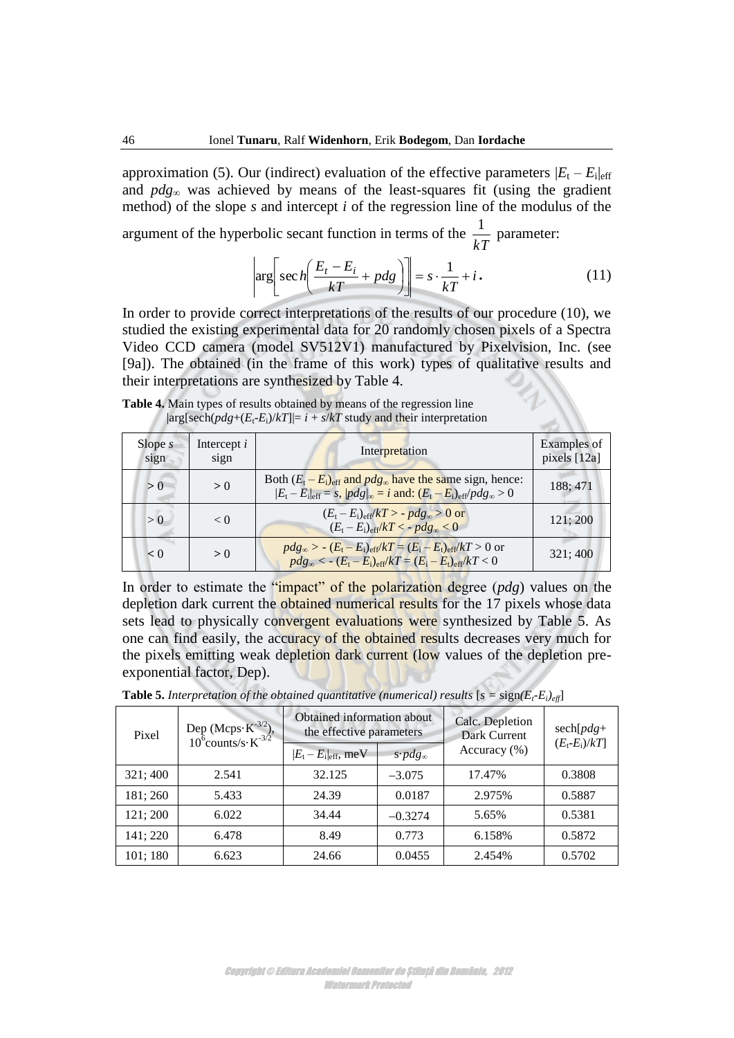approximation (5). Our (indirect) evaluation of the effective parameters  $|E_t - E_i|_{eff}$ and *pdg*<sup>∞</sup> was achieved by means of the least-squares fit (using the gradient method) of the slope *s* and intercept *i* of the regression line of the modulus of the

argument of the hyperbolic secant function in terms of the *kT*  $\frac{1}{\sqrt{n}}$  parameter:

$$
\left|\arg\left[\sec\left(\frac{E_t - E_i}{kT} + pdg\right)\right]\right| = s \cdot \frac{1}{kT} + i\,. \tag{11}
$$

In order to provide correct interpretations of the results of our procedure (10), we studied the existing experimental data for 20 randomly chosen pixels of a Spectra Video CCD camera (model SV512V1) manufactured by Pixelvision, Inc. (see [9a]). The obtained (in the frame of this work) types of qualitative results and their interpretations are synthesized by Table 4.

**Table 4.** Main types of results obtained by means of the regression line  $|\arg[\text{sech}(pdg + (E_t - E_i)/kT]| = i + s/kT$  study and their interpretation

| Slope $s$<br>sign | Intercept $i$<br>sign | Interpretation                                                                                                                                                               | Examples of<br>pixels [12a] |
|-------------------|-----------------------|------------------------------------------------------------------------------------------------------------------------------------------------------------------------------|-----------------------------|
| > 0               | > 0                   | Both $(E_t - E_i)_{\text{eff}}$ and $p dg_{\infty}$ have the same sign, hence:<br>$ E_t - E_i _{eff} = s$ , $ p dg _{\infty} = i$ and: $(E_t - E_i)_{eff}/p dg_{\infty} > 0$ | 188:471                     |
| > 0               | < 0                   | $(E_t-E_i)_{\text{eff}}/kT > -p dg_{\infty} > 0$ or<br>$(E_t-E_i)_{\text{eff}}/kT < -p dg_{\infty} < 0$                                                                      | 121; 200                    |
| < 0               | > 0                   | $pdg_{\infty} > -(E_t - E_i)_{eff}/kT = (E_i - E_t)_{eff}/kT > 0$ or<br>$p dg_{\infty} < - (E_t - E_i)_{\text{eff}} / kT = (E_i - E_t)_{\text{eff}} / kT < 0$                | 321:400                     |

In order to estimate the "impact" of the polarization degree (*pdg*) values on the depletion dark current the obtained numerical results for the 17 pixels whose data sets lead to physically convergent evaluations were synthesized by Table 5. As one can find easily, the accuracy of the obtained results decreases very much for the pixels emitting weak depletion dark current (low values of the depletion preexponential factor, Dep).

**Table 5.** Interpretation of the obtained quantitative (numerical) results  $[s = sign(E_t-E_t)_{\text{eff}}]$ 

| Pixel    | Dep (Mcps $\cdot$ K <sup>-3/2</sup> ),<br>10 <sup>6</sup> counts/s $\cdot$ K <sup>-3/2</sup> | Obtained information about<br>the effective parameters |                        | Calc. Depletion<br>Dark Current | $sech[pdg+$<br>$(E_t-E_i)/kT$ |  |
|----------|----------------------------------------------------------------------------------------------|--------------------------------------------------------|------------------------|---------------------------------|-------------------------------|--|
|          |                                                                                              | $ E_t - E_i _{eff}$ , meV                              | $s \cdot pdg_{\infty}$ | Accuracy $(\% )$                |                               |  |
| 321:400  | 2.541                                                                                        | 32.125                                                 | $-3.075$               | 17.47%                          | 0.3808                        |  |
| 181; 260 | 5.433                                                                                        | 24.39                                                  | 0.0187                 | 2.975%                          | 0.5887                        |  |
| 121; 200 | 6.022                                                                                        | 34.44                                                  | $-0.3274$              | 5.65%                           | 0.5381                        |  |
| 141; 220 | 6.478                                                                                        | 8.49                                                   | 0.773                  | 6.158%                          | 0.5872                        |  |
| 101;180  | 6.623                                                                                        | 24.66                                                  | 0.0455                 | 2.454%                          | 0.5702                        |  |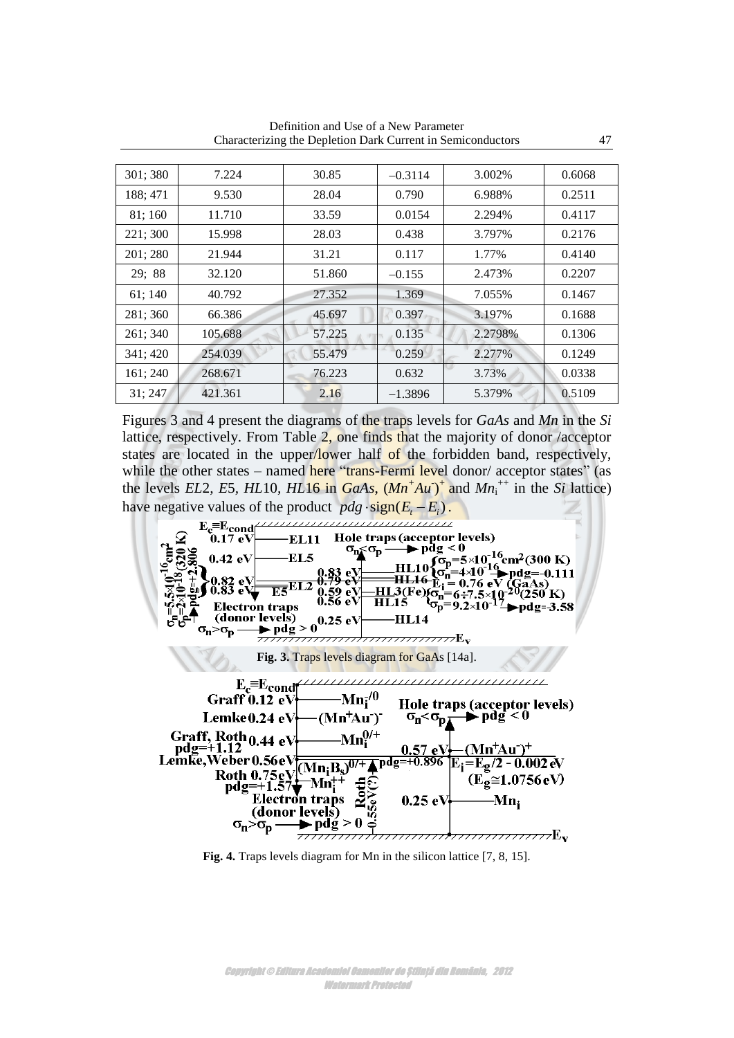| 301; 380 | 7.224   | 30.85  | $-0.3114$ | 3.002%  | 0.6068 |
|----------|---------|--------|-----------|---------|--------|
| 188; 471 | 9.530   | 28.04  | 0.790     | 6.988%  | 0.2511 |
| 81; 160  | 11.710  | 33.59  | 0.0154    | 2.294%  | 0.4117 |
| 221; 300 | 15.998  | 28.03  | 0.438     | 3.797%  | 0.2176 |
| 201;280  | 21.944  | 31.21  | 0.117     | 1.77%   | 0.4140 |
| 29; 88   | 32.120  | 51.860 | $-0.155$  | 2.473%  | 0.2207 |
| 61; 140  | 40.792  | 27.352 | 1.369     | 7.055%  | 0.1467 |
| 281; 360 | 66.386  | 45.697 | 0.397     | 3.197%  | 0.1688 |
| 261; 340 | 105.688 | 57.225 | 0.135     | 2.2798% | 0.1306 |
| 341; 420 | 254.039 | 55.479 | 0.259     | 2.277%  | 0.1249 |
| 161; 240 | 268.671 | 76.223 | 0.632     | 3.73%   | 0.0338 |
| 31;247   | 421.361 | 2.16   | $-1.3896$ | 5.379%  | 0.5109 |

Definition and Use of a New Parameter Characterizing the Depletion Dark Current in Semiconductors 47

Figures 3 and 4 present the diagrams of the traps levels for *GaAs* and *Mn* in the *Si*  lattice, respectively. From Table 2, one finds that the majority of donor /acceptor states are located in the upper/lower half of the forbidden band, respectively, while the other states – named here "trans-Fermi level donor/ acceptor states" (as the levels *EL*2*, E5, HL*10*, HL*<sup>16</sup> in *GaAs,*  $(Mn^+Au)^+$  and  $Mn_i^{++}$  in the *Si* lattice) have negative values of the product  $p dg \cdot sign(E_i - E_i)$ .



**Fig. 4.** Traps levels diagram for Mn in the silicon lattice [7, 8, 15].

Copyright © Editura Academiei Oamenilor de Știință din România, 2012 Watermark Protected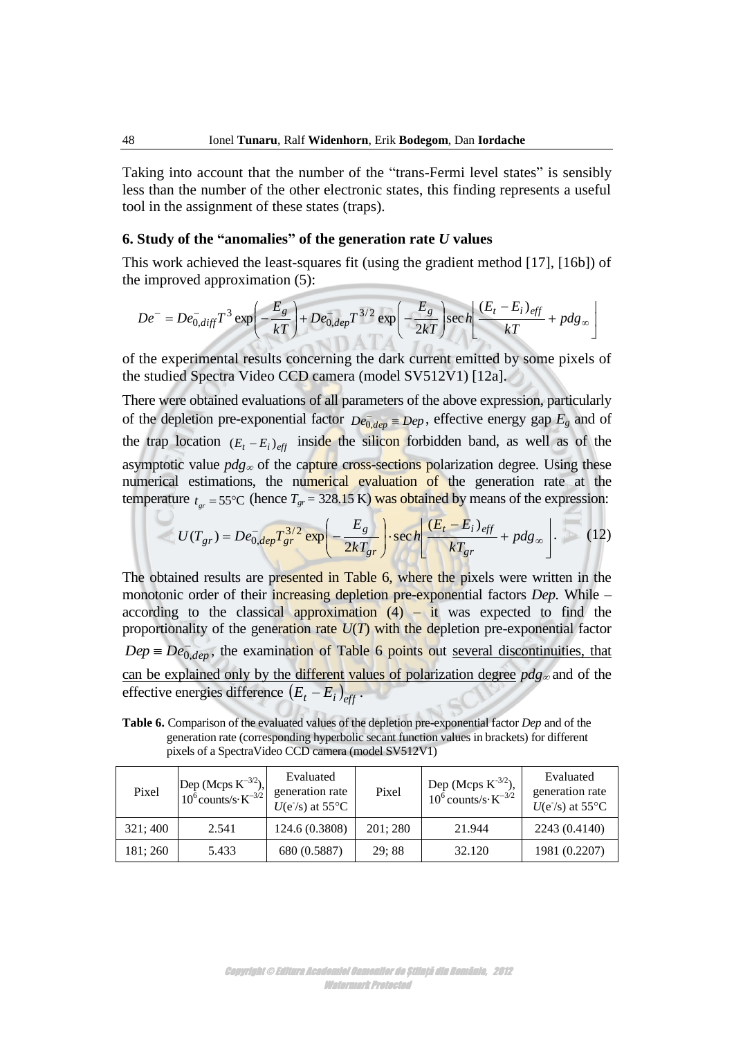Taking into account that the number of the "trans-Fermi level states" is sensibly less than the number of the other electronic states, this finding represents a useful tool in the assignment of these states (traps).

## **6. Study of the "anomalies" of the generation rate** *U* **values**

This work achieved the least-squares fit (using the gradient method [17], [16b]) of the improved approximation (5):

e improved approximation (5):  
\n
$$
De^{-} = De_{0,diff}^{-} T^3 \exp\left(-\frac{E_g}{kT}\right) + De_{0,dep}^{-} T^{3/2} \exp\left(-\frac{E_g}{2kT}\right) \sec h \left(\frac{(E_t - E_i)_{eff}}{kT} + p dg_{\infty}\right)
$$

of the experimental results concerning the dark current emitted by some pixels of the studied Spectra Video CCD camera (model SV512V1) [12a].

There were obtained evaluations of all parameters of the above expression, particularly of the depletion pre-exponential factor  $De_{0,dep} = Dep$ , effective energy gap  $E_g$  and of the trap location  $(E_t - E_i)_{\text{eff}}$  inside the silicon forbidden band, as well as of the asymptotic value  $p dg_{\infty}$  of the capture cross-sections polarization degree. Using these numerical estimations, the numerical evaluation of the generation rate at the

temperature 
$$
t_{gr} = 55^{\circ}
$$
C (hence  $T_{gr} = 328.15$  K) was obtained by means of the expression:  
\n
$$
U(T_{gr}) = De_{0,dep}^{-}T_{gr}^{3/2} \exp\left(-\frac{E_g}{2kT_{gr}}\right) \cdot \sec h \left[\frac{(E_t - E_i)_{eff}}{kT_{gr}} + p dg_{\infty}\right].
$$
\n(12)

The obtained results are presented in Table 6, where the pixels were written in the monotonic order of their increasing depletion pre-exponential factors *Dep.* While – according to the classical approximation  $(4)$  – it was expected to find the proportionality of the generation rate  $U(T)$  with the depletion pre-exponential factor  $Dep \equiv De_{0,dep}^-$ , the examination of Table 6 points out <u>several discontinuities, that</u> can be explained only by the different values of polarization degree  $p dg_{\infty}$  and of the effective energies difference  $(E_t - E_i)_{eff}$ .

**Table 6.** Comparison of the evaluated values of the depletion pre-exponential factor *Dep* and of the generation rate (corresponding hyperbolic secant function values in brackets) for different pixels of a SpectraVideo CCD camera (model SV512V1)

| Pixel    | Dep (Mcps $K^{-3/2}$ ),<br>10 <sup>6</sup> counts/s· $K^{-3/2}$ | Evaluated<br>generation rate<br>$U(e^{-}/s)$ at 55°C | Pixel   | Dep (Mcps $K^{-3/2}$ ),<br>$10^6$ counts/s $\cdot$ K <sup>-3/2</sup> | Evaluated<br>generation rate<br>$U(e^{-}/s)$ at 55°C |
|----------|-----------------------------------------------------------------|------------------------------------------------------|---------|----------------------------------------------------------------------|------------------------------------------------------|
| 321:400  | 2.541                                                           | 124.6 (0.3808)                                       | 201:280 | 21.944                                                               | 2243 (0.4140)                                        |
| 181; 260 | 5.433                                                           | 680 (0.5887)                                         | 29;88   | 32.120                                                               | 1981 (0.2207)                                        |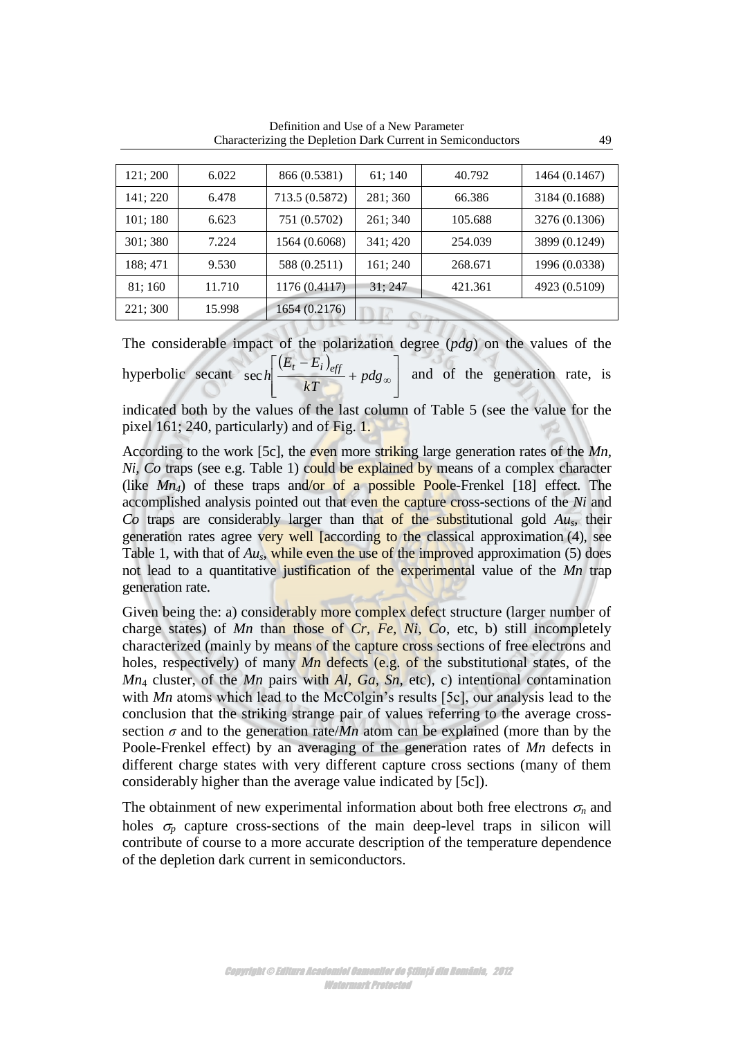| 121:200  | 6.022  | 866 (0.5381)   | 61:140   | 40.792  | 1464 (0.1467) |
|----------|--------|----------------|----------|---------|---------------|
| 141:220  | 6.478  | 713.5 (0.5872) | 281; 360 | 66.386  | 3184 (0.1688) |
| 101:180  | 6.623  | 751 (0.5702)   | 261; 340 | 105.688 | 3276 (0.1306) |
| 301:380  | 7.224  | 1564 (0.6068)  | 341; 420 | 254.039 | 3899 (0.1249) |
| 188:471  | 9.530  | 588 (0.2511)   | 161; 240 | 268.671 | 1996 (0.0338) |
| 81:160   | 11.710 | 1176(0.4117)   | 31:247   | 421.361 | 4923 (0.5109) |
| 221; 300 | 15.998 | 1654 (0.2176)  |          |         |               |

Definition and Use of a New Parameter Characterizing the Depletion Dark Current in Semiconductors 49

The considerable impact of the polarization degree (*pdg*) on the values of the The considerable impact of the polariz<br>hyperbolic secant  $\sec h \left( \frac{(E_t - E_i)_{eff}}{1 - (1 - \epsilon)} \right)$  $\overline{\phantom{a}}$  $\overline{\phantom{a}}$  $\rfloor$  $\overline{\phantom{a}}$ L  $\mathbf{r}$  $\lfloor$  $\begin{array}{c} \end{array}$  $^{+}$ Ì  $\frac{Pf(y)}{kT} + pdg_{\infty}$  $E_t - E$  $\sec h \frac{(E_t - E_i)_{eff}}{iE} + p dg_{\infty}$  and of the generation rate, is

indicated both by the values of the last column of Table 5 (see the value for the pixel 161; 240, particularly) and of Fig. 1.

According to the work [5c], the even more striking large generation rates of the *Mn, Ni, Co* traps (see e.g. Table 1) could be explained by means of a complex character (like  $Mn_4$ ) of these traps and/or of a possible Poole-Frenkel [18] effect. The accomplished analysis pointed out that even the capture cross-sections of the *Ni* and *Co* traps are considerably larger than that of the substitutional gold *Aus,* their generation rates agree very well [according to the classical approximation (4), see Table 1, with that of  $Au_s$ , while even the use of the improved approximation (5) does not lead to a quantitative justification of the experimental value of the *Mn* trap generation rate.

Given being the: a) considerably more complex defect structure (larger number of charge states) of *Mn* than those of *Cr, Fe, Ni, Co*, etc, b) still incompletely characterized (mainly by means of the capture cross sections of free electrons and holes, respectively) of many *Mn* defects (e.g. of the substitutional states, of the *Mn*4 cluster, of the *Mn* pairs with *Al, Ga, Sn,* etc), c) intentional contamination with *Mn* atoms which lead to the McColgin's results [5c], our analysis lead to the conclusion that the striking strange pair of values referring to the average crosssection  $\sigma$  and to the generation rate/*Mn* atom can be explained (more than by the Poole-Frenkel effect) by an averaging of the generation rates of *Mn* defects in different charge states with very different capture cross sections (many of them considerably higher than the average value indicated by [5c]).

The obtainment of new experimental information about both free electrons  $\sigma_n$  and holes  $\sigma_p$  capture cross-sections of the main deep-level traps in silicon will contribute of course to a more accurate description of the temperature dependence of the depletion dark current in semiconductors.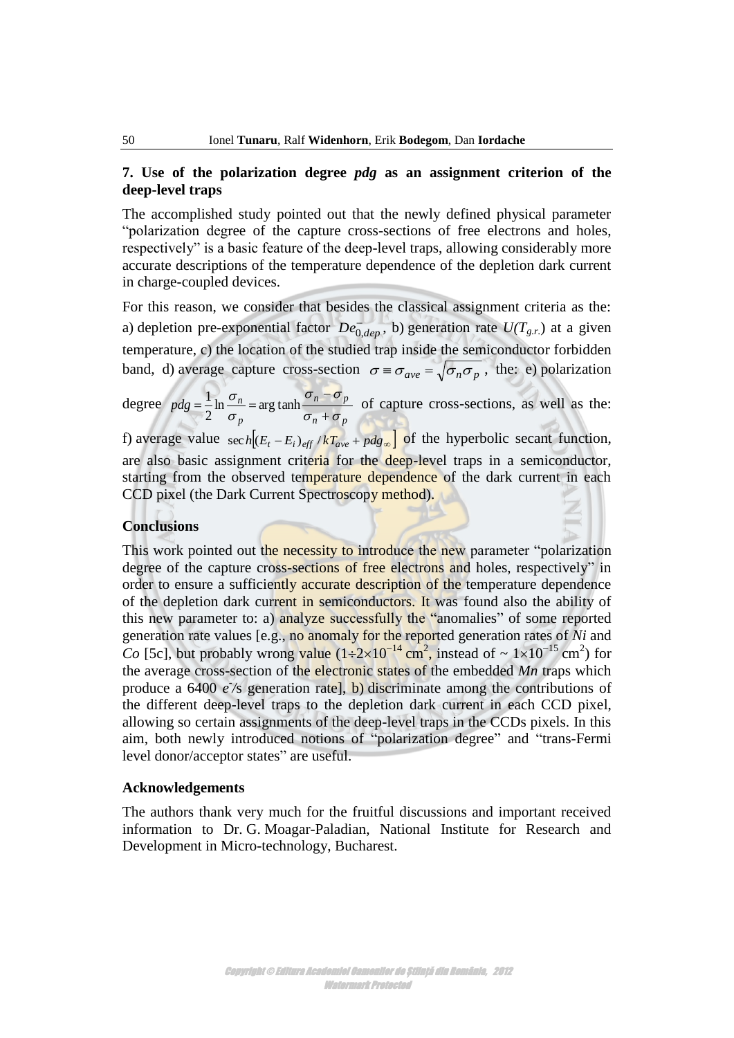# **7. Use of the polarization degree** *pdg* **as an assignment criterion of the deep-level traps**

The accomplished study pointed out that the newly defined physical parameter "polarization degree of the capture cross-sections of free electrons and holes, respectively" is a basic feature of the deep-level traps, allowing considerably more accurate descriptions of the temperature dependence of the depletion dark current in charge-coupled devices.

For this reason, we consider that besides the classical assignment criteria as the: a) depletion pre-exponential factor  $De^{-}_{0,dep}$ , b) generation rate  $U(T_{g.r.})$  at a given temperature, c) the location of the studied trap inside the semiconductor forbidden band, d) average capture cross-section  $\sigma = \sigma_{ave} = \sqrt{\sigma_n \sigma_p}$ , the: e) polarization

degree  $p^{n}$   $\sigma$  *p*  $p - b$ *p*  $pdg = \frac{1}{2} \ln \frac{\sigma_n}{\sigma_n} = \arg \tanh \frac{\sigma_n}{\sigma_n + \sigma_n}$  $\sigma_{\rm n}$  –  $\sigma$ σ σ  $^{+}$ ÷  $=\frac{1}{2} \ln \frac{8-n}{2} = \arg \tanh$ 2  $\frac{1}{n} \ln \frac{\sigma_n}{\sigma_n} = \arg \tanh \frac{\sigma_n - \sigma_p}{\sigma_n}$  of capture cross-sections, as well as the:

f) average value  $\sec h \left( (E_t - E_i)_{\text{eff}} / kT_{\text{ave}} + \text{pdg}_{\infty} \right)$  of the hyperbolic secant function, are also basic assignment criteria for the deep-level traps in a semiconductor, starting from the observed temperature dependence of the dark current in each CCD pixel (the Dark Current Spectroscopy method).

#### **Conclusions**

This work pointed out the necessity to introduce the new parameter "polarization" degree of the capture cross-sections of free electrons and holes, respectively" in order to ensure a sufficiently accurate description of the temperature dependence of the depletion dark current in semiconductors. It was found also the ability of this new parameter to: a) analyze successfully the "anomalies" of some reported generation rate values [e.g., no anomaly for the reported generation rates of *Ni* and *Co* [5c], but probably wrong value  $(1\div 2\times 10^{-14} \text{ cm}^2)$ , instead of  $\sim 1\times 10^{-15} \text{ cm}^2$ ) for the average cross-section of the electronic states of the embedded *Mn* traps which produce a  $6400 e$ /s generation rate], b) discriminate among the contributions of the different deep-level traps to the depletion dark current in each CCD pixel, allowing so certain assignments of the deep-level traps in the CCDs pixels. In this aim, both newly introduced notions of "polarization degree" and "trans-Fermi level donor/acceptor states" are useful.

#### **Acknowledgements**

The authors thank very much for the fruitful discussions and important received information to Dr. G. Moagar-Paladian, National Institute for Research and Development in Micro-technology, Bucharest.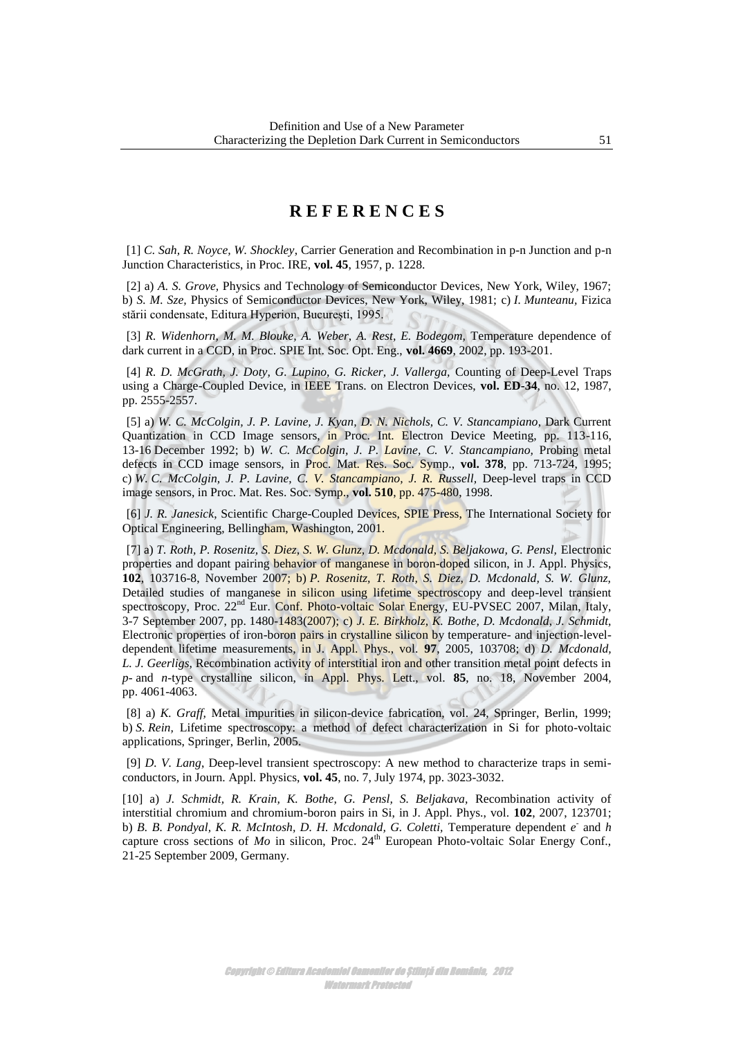# **R E F E R E N C E S**

 [1] *C. Sah, R. Noyce, W. Shockley*, Carrier Generation and Recombination in p-n Junction and p-n Junction Characteristics, in Proc. IRE, **vol. 45**, 1957, p. 1228.

 [2] a) *A. S. Grove,* Physics and Technology of Semiconductor Devices, New York, Wiley, 1967; b) *S. M. Sze,* Physics of Semiconductor Devices, New York, Wiley, 1981; c) *I. Munteanu,* Fizica stării condensate, Editura Hyperion, Bucureşti, 1995.

[3] *R. Widenhorn, M. M. Blouke, A. Weber, A. Rest, E. Bodegom, Temperature dependence of* dark current in a CCD, in Proc. SPIE Int. Soc. Opt. Eng., **vol. 4669**, 2002, pp. 193-201.

[4] *R. D. McGrath, J. Doty, G. Lupino, G. Ricker, J. Vallerga, Counting of Deep-Level Traps* using a Charge-Coupled Device, in IEEE Trans. on Electron Devices, **vol. ED-34**, no. 12, 1987, pp. 2555-2557.

 [5] a) *W. C. McColgin, J. P. Lavine, J. Kyan, D. N. Nichols, C. V. Stancampiano*, Dark Current Quantization in CCD Image sensors, in Proc. Int. Electron Device Meeting, pp. 113-116, 13-16 December 1992; b) *W. C. McColgin, J. P. Lavine, C. V. Stancampiano,* Probing metal defects in CCD image sensors, in Proc. Mat. Res. Soc. Symp., **vol. 378**, pp. 713-724, 1995; c) *W. C. McColgin, J. P. Lavine, C. V. Stancampiano, J. R. Russell,* Deep-level traps in CCD image sensors, in Proc. Mat. Res. Soc. Symp., **vol. 510**, pp. 475-480, 1998.

 [6] *J. R. Janesick*, Scientific Charge-Coupled Devices, SPIE Press, The International Society for Optical Engineering, Bellingham, Washington, 2001.

 [7] a) *T. Roth, P. Rosenitz, S. Diez, S. W. Glunz, D. Mcdonald, S. Beljakowa, G. Pensl,* Electronic properties and dopant pairing behavior of manganese in boron-doped silicon, in J. Appl. Physics, **102**, 103716-8, November 2007; b) *P. Rosenitz, T. Roth, S. Diez, D. Mcdonald, S. W. Glunz,* Detailed studies of manganese in silicon using lifetime spectroscopy and deep-level transient spectroscopy, Proc. 22<sup>nd</sup> Eur. Conf. Photo-voltaic Solar Energy, EU-PVSEC 2007, Milan, Italy, 3-7 September 2007, pp. 1480-1483(2007); c) *J. E. Birkholz, K. Bothe, D. Mcdonald, J. Schmidt,*  Electronic properties of iron-boron pairs in crystalline silicon by temperature- and injection-leveldependent lifetime measurements, in J. Appl. Phys., vol. **97**, 2005, 103708; d) *D. Mcdonald, L. J. Geerligs,* Recombination activity of interstitial iron and other transition metal point defects in *p-* and *n-*type crystalline silicon, in Appl. Phys. Lett., vol. **85**, no. 18, November 2004, pp. 4061-4063.

 [8] a) *K. Graff,* Metal impurities in silicon-device fabrication, vol. 24, Springer, Berlin, 1999; b) *S. Rein,* Lifetime spectroscopy: a method of defect characterization in Si for photo-voltaic applications, Springer, Berlin, 2005.

 [9] *D. V. Lang*, Deep-level transient spectroscopy: A new method to characterize traps in semiconductors, in Journ. Appl. Physics, **vol. 45**, no. 7, July 1974, pp. 3023-3032.

[10] a) *J. Schmidt, R. Krain, K. Bothe, G. Pensl, S. Beljakava,* Recombination activity of interstitial chromium and chromium-boron pairs in Si, in J. Appl. Phys., vol. **102**, 2007, 123701; b) *B. B. Pondyal, K. R. McIntosh, D. H. Mcdonald, G. Coletti,* Temperature dependent *e -* and *h* capture cross sections of  $Mo$  in silicon, Proc. 24<sup>th</sup> European Photo-voltaic Solar Energy Conf., 21-25 September 2009, Germany.